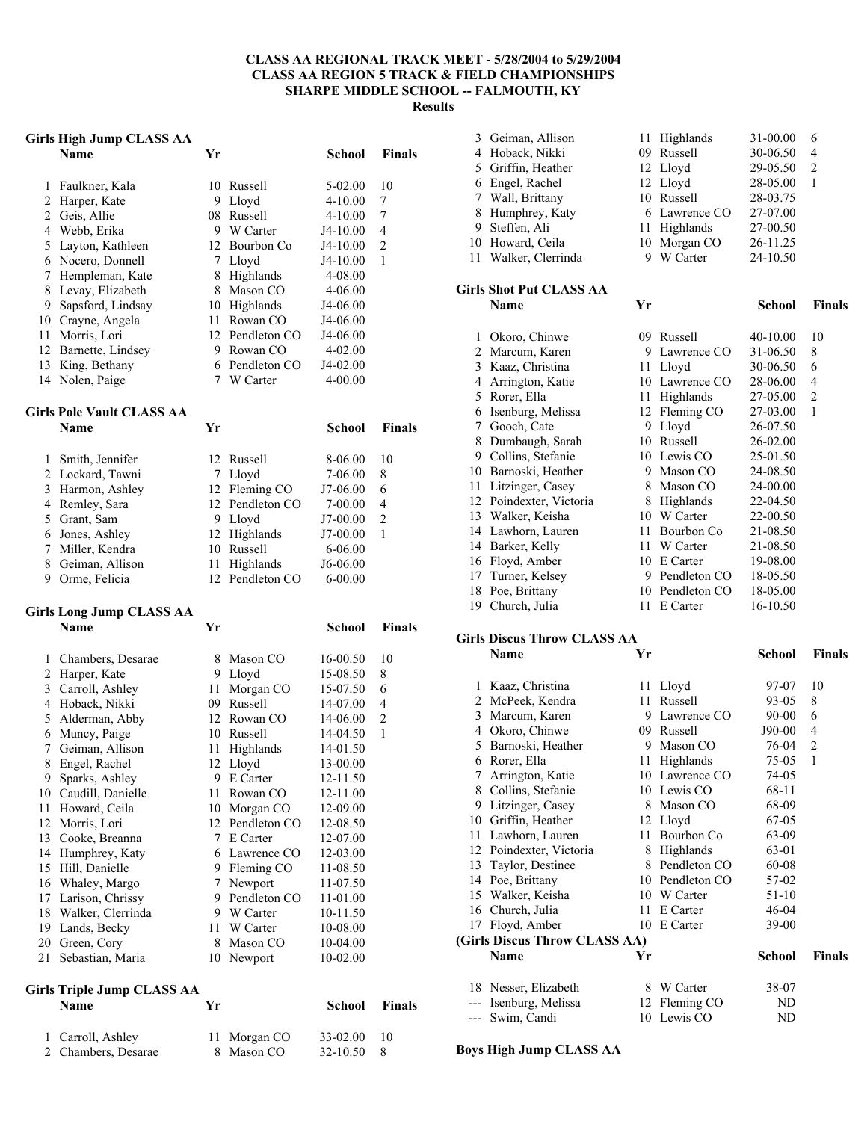#### **CLASS AA REGIONAL TRACK MEET - 5/28/2004 to 5/29/2004 CLASS AA REGION 5 TRACK & FIELD CHAMPIONSHIPS SHARPE MIDDLE SCHOOL -- FALMOUTH, KY Results**

### **Girls High Jump CLASS AA**

|                | Name                 | Yг  |                 | School      | <b>Finals</b> |
|----------------|----------------------|-----|-----------------|-------------|---------------|
|                | Faulkner, Kala       |     | 10 Russell      | $5-02.00$   | 10            |
| 2              | Harper, Kate         | 9   | Lloyd           | $4 - 10.00$ | 7             |
|                | 2 Geis, Allie        | 08. | Russell         | $4 - 10.00$ | 7             |
| 4              | Webb, Erika          | 9   | W Carter        | J4-10.00    | 4             |
| 5 <sup>5</sup> | Layton, Kathleen     | 12  | Bourbon Co      | J4-10.00    | 2             |
| 6              | Nocero, Donnell      |     | 7 Lloyd         | J4-10.00    | 1             |
|                | Hempleman, Kate      | 8   | Highlands       | 4-08.00     |               |
| 8              | Levay, Elizabeth     | 8   | Mason CO        | $4 - 06.00$ |               |
| 9              | Sapsford, Lindsay    |     | 10 Highlands    | J4-06.00    |               |
| 10             | Crayne, Angela       | 11  | Rowan CO        | J4-06.00    |               |
| 11             | Morris, Lori         |     | 12 Pendleton CO | J4-06.00    |               |
|                | 12 Barnette, Lindsey | 9   | Rowan CO        | $4 - 02.00$ |               |
| 13             | King, Bethany        |     | 6 Pendleton CO  | $J4-02.00$  |               |
|                | 14 Nolen, Paige      |     | W Carter        | $4 - 00.00$ |               |
|                |                      |     |                 |             |               |

# **Girls Pole Vault CLASS AA**

|   | Name             | Үr |                 | School      | <b>Finals</b> |
|---|------------------|----|-----------------|-------------|---------------|
|   | Smith, Jennifer  |    | 12 Russell      | 8-06.00     | 10            |
|   | 2 Lockard, Tawni |    | 7 Lloyd         | 7-06.00     | 8             |
| 3 | Harmon, Ashley   |    | 12 Fleming CO   | J7-06.00    | 6             |
|   | 4 Remley, Sara   |    | 12 Pendleton CO | 7-00.00     | 4             |
|   | 5 Grant, Sam     |    | 9 Lloyd         | J7-00.00    | $\mathcal{L}$ |
| 6 | Jones, Ashley    |    | 12 Highlands    | J7-00.00    |               |
|   | Miller, Kendra   | 10 | Russell         | 6-06.00     |               |
| 8 | Geiman, Allison  |    | Highlands       | J6-06.00    |               |
| 9 | Orme, Felicia    |    | 12 Pendleton CO | $6 - 00.00$ |               |

## **Girls Long Jump CLASS AA**

|    | on is nong amih crimo tru<br><b>Name</b>         | Yr |                | School       | <b>Finals</b>  |
|----|--------------------------------------------------|----|----------------|--------------|----------------|
| 1  | Chambers, Desarae                                | 8  | Mason CO       | $16 - 00.50$ | 10             |
| 2  | Harper, Kate                                     | 9  | Lloyd          | 15-08.50     | 8              |
| 3  | Carroll, Ashley                                  | 11 | Morgan CO      | 15-07.50     | 6              |
| 4  | Hoback, Nikki                                    | 09 | Russell        | 14-07.00     | 4              |
| 5  | Alderman, Abby                                   |    | 12 Rowan CO    | 14-06.00     | $\overline{c}$ |
| 6  | Muncy, Paige                                     | 10 | Russell        | 14-04.50     | 1              |
| 7  | Geiman, Allison                                  | 11 | Highlands      | 14-01.50     |                |
| 8  | Engel, Rachel                                    | 12 | Lloyd          | 13-00.00     |                |
| 9  | Sparks, Ashley                                   | 9  | E Carter       | 12-11.50     |                |
| 10 | Caudill, Danielle                                | 11 | Rowan CO       | 12-11.00     |                |
| 11 | Howard, Ceila                                    | 10 | Morgan CO      | 12-09.00     |                |
| 12 | Morris, Lori                                     | 12 | Pendleton CO   | 12-08.50     |                |
| 13 | Cooke, Breanna                                   |    | 7 E Carter     | 12-07.00     |                |
| 14 | Humphrey, Katy                                   |    | 6 Lawrence CO  | 12-03.00     |                |
| 15 | Hill, Danielle                                   | 9  | Fleming CO     | 11-08.50     |                |
| 16 | Whaley, Margo                                    | 7  | Newport        | 11-07.50     |                |
| 17 | Larison, Chrissy                                 |    | 9 Pendleton CO | 11-01.00     |                |
| 18 | Walker, Clerrinda                                |    | 9 W Carter     | 10-11.50     |                |
| 19 | Lands, Becky                                     |    | 11 W Carter    | 10-08.00     |                |
|    | 20 Green, Cory                                   | 8  | Mason CO       | 10-04.00     |                |
| 21 | Sebastian, Maria                                 | 10 | Newport        | 10-02.00     |                |
|    | <b>Girls Triple Jump CLASS AA</b><br><b>Name</b> | Yr |                | School       | <b>Finals</b>  |

| 1 Carroll, Ashley   | 11 Morgan CO | 33-02.00 | -10 |
|---------------------|--------------|----------|-----|
| 2 Chambers, Desarae | 8 Mason CO   | 32-10.50 | - 8 |

| 3 Geiman, Allison    |    | 11 Highlands  | 31-00.00 |               |
|----------------------|----|---------------|----------|---------------|
| 4 Hoback, Nikki      | 09 | Russell       | 30-06.50 | 4             |
| 5 Griffin, Heather   |    | 12 Lloyd      | 29-05.50 | $\mathcal{D}$ |
| 6 Engel, Rachel      |    | 12 Lloyd      | 28-05.00 |               |
| 7 Wall, Brittany     |    | 10 Russell    | 28-03.75 |               |
| 8 Humphrey, Katy     |    | 6 Lawrence CO | 27-07.00 |               |
| 9 Steffen, Ali       |    | 11 Highlands  | 27-00.50 |               |
| 10 Howard, Ceila     |    | 10 Morgan CO  | 26-11.25 |               |
| 11 Walker, Clerrinda |    | W Carter      | 24-10.50 |               |
|                      |    |               |          |               |

#### **Girls Shot Put CLASS AA Name Yr School Finals**

| 1  | Okoro, Chinwe        | 09 | Russell          | 40-10.00 | 10             |
|----|----------------------|----|------------------|----------|----------------|
| 2  | Marcum, Karen        | 9  | Lawrence CO      | 31-06.50 | 8              |
| 3  | Kaaz, Christina      | 11 | Lloyd            | 30-06.50 | 6              |
| 4  | Arrington, Katie     | 10 | Lawrence CO      | 28-06.00 | 4              |
| 5  | Rorer, Ella          | 11 | Highlands        | 27-05.00 | $\overline{2}$ |
| 6  | Isenburg, Melissa    | 12 | Fleming CO       | 27-03.00 | 1              |
| 7  | Gooch, Cate          | 9  | Lloyd            | 26-07.50 |                |
| 8  | Dumbaugh, Sarah      | 10 | Russell          | 26-02.00 |                |
| 9  | Collins, Stefanie    | 10 | Lewis CO         | 25-01.50 |                |
| 10 | Barnoski, Heather    | 9  | Mason CO         | 24-08.50 |                |
| 11 | Litzinger, Casey     | 8  | Mason CO         | 24-00.00 |                |
| 12 | Poindexter, Victoria | 8  | <b>Highlands</b> | 22-04.50 |                |
| 13 | Walker, Keisha       | 10 | W Carter         | 22-00.50 |                |
| 14 | Lawhorn, Lauren      | 11 | Bourbon Co       | 21-08.50 |                |
| 14 | Barker, Kelly        | 11 | W Carter         | 21-08.50 |                |
| 16 | Floyd, Amber         | 10 | E Carter         | 19-08.00 |                |
| 17 | Turner, Kelsey       | 9  | Pendleton CO     | 18-05.50 |                |
| 18 | Poe, Brittany        | 10 | Pendleton CO     | 18-05.00 |                |
| 19 | Church, Julia        | 11 | E Carter         | 16-10.50 |                |

### **Girls Discus Throw CLASS AA**

|       | Name                          | Yr  |                | School  | Finals |
|-------|-------------------------------|-----|----------------|---------|--------|
| 1     | Kaaz, Christina               |     | 11 Lloyd       | 97-07   | 10     |
| 2     | McPeek, Kendra                | 11  | <b>Russell</b> | 93-05   | 8      |
| 3     | Marcum, Karen                 | 9   | Lawrence CO    | 90-00   | 6      |
| 4     | Okoro, Chinwe                 | 09. | Russell        | J90-00  | 4      |
| 5     | Barnoski, Heather             | 9   | Mason CO       | 76-04   | 2      |
| 6     | Rorer, Ella                   | 11  | Highlands      | 75-05   | 1      |
| 7     | Arrington, Katie              | 10  | Lawrence CO    | 74-05   |        |
| 8     | Collins, Stefanie             |     | 10 Lewis CO    | 68-11   |        |
| 9     | Litzinger, Casey              | 8   | Mason CO       | 68-09   |        |
| 10    | Griffin, Heather              | 12  | Lloyd          | 67-05   |        |
| 11    | Lawhorn, Lauren               | 11  | Bourbon Co     | 63-09   |        |
| 12    | Poindexter, Victoria          | 8   | Highlands      | 63-01   |        |
| 13    | Taylor, Destinee              | 8   | Pendleton CO   | 60-08   |        |
| 14    | Poe, Brittany                 | 10  | Pendleton CO   | 57-02   |        |
| 15    | Walker, Keisha                | 10  | W Carter       | 51-10   |        |
| 16    | Church, Julia                 | 11  | E Carter       | 46-04   |        |
| 17    | Floyd, Amber                  | 10  | E Carter       | $39-00$ |        |
|       | (Girls Discus Throw CLASS AA) |     |                |         |        |
|       | Name                          | Yr  |                | School  | Finals |
|       | 18 Nesser, Elizabeth          | 8   | W Carter       | 38-07   |        |
| ---   | Isenburg, Melissa             | 12  | Fleming CO     | ND      |        |
| $---$ | Swim, Candi                   |     | 10 Lewis CO    | ND      |        |

**Boys High Jump CLASS AA**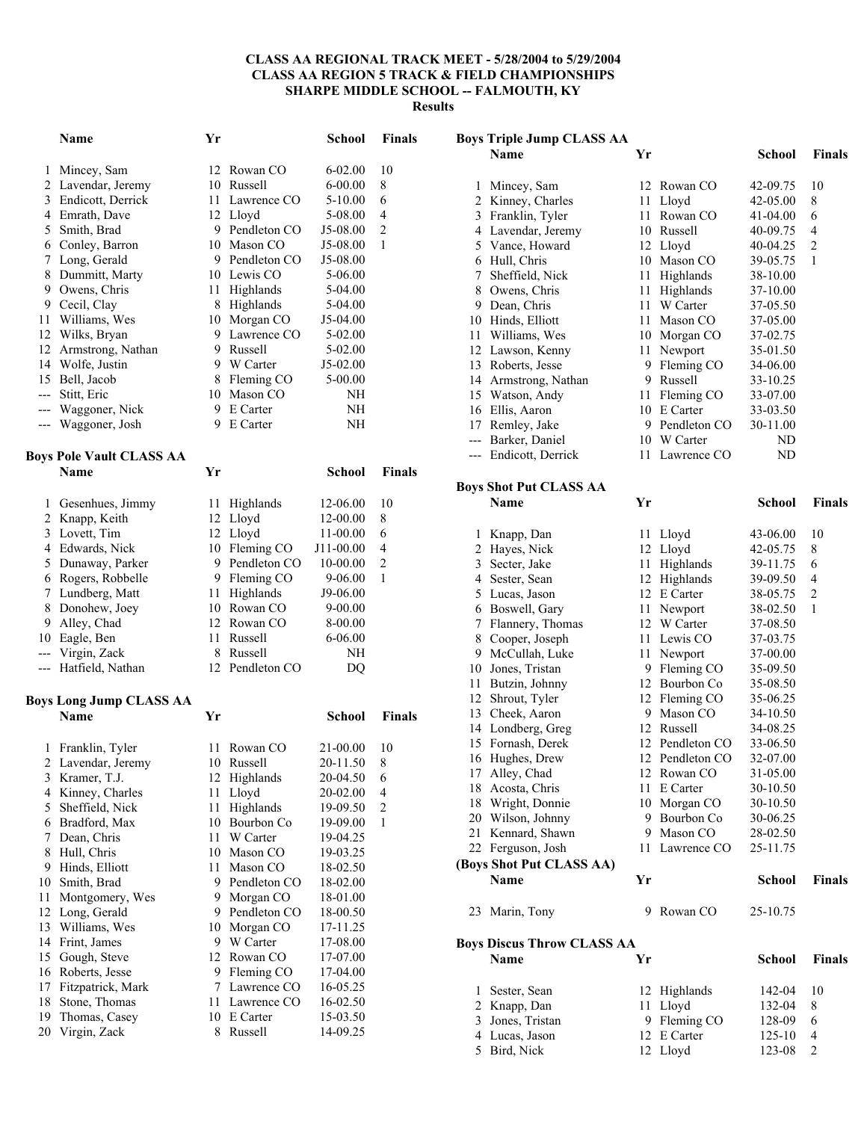#### **CLASS AA REGIONAL TRACK MEET - 5/28/2004 to 5/29/2004 CLASS AA REGION 5 TRACK & FIELD CHAMPIONSHIPS SHARPE MIDDLE SCHOOL -- FALMOUTH, KY Results**

|              | <b>Name</b>                            | Yr       |                           | <b>School</b>        | <b>Finals</b>  |
|--------------|----------------------------------------|----------|---------------------------|----------------------|----------------|
| 1            | Mincey, Sam                            | 12       | Rowan CO                  | $6 - 02.00$          | 10             |
| 2            | Lavendar, Jeremy                       |          | 10 Russell                | $6 - 00.00$          | 8              |
| 3            | Endicott, Derrick                      |          | 11 Lawrence CO            | 5-10.00              | 6              |
|              | 4 Emrath, Dave                         |          | 12 Lloyd                  | 5-08.00              | 4              |
| 5            | Smith, Brad                            |          | 9 Pendleton CO            | J5-08.00             | $\overline{c}$ |
| 6            | Conley, Barron                         |          | 10 Mason CO               | J5-08.00             | 1              |
| 7            | Long, Gerald                           |          | 9 Pendleton CO            | J5-08.00             |                |
| 8            | Dummitt, Marty                         |          | 10 Lewis CO               | 5-06.00              |                |
| 9            | Owens, Chris                           |          | 11 Highlands              | 5-04.00              |                |
| 9            | Cecil, Clay                            |          | 8 Highlands               | 5-04.00              |                |
| 11           | Williams, Wes                          |          | 10 Morgan CO              | J5-04.00             |                |
| 12           | Wilks, Bryan                           |          | 9 Lawrence CO             | 5-02.00              |                |
| 12           | Armstrong, Nathan                      |          | 9 Russell                 | 5-02.00              |                |
| 14           | Wolfe, Justin                          |          | 9 W Carter                | J5-02.00             |                |
| $---$        | 15 Bell, Jacob                         |          | 8 Fleming CO              | 5-00.00              |                |
| ---          | Stitt, Eric<br>Waggoner, Nick          |          | 10 Mason CO<br>9 E Carter | NΗ<br>NΗ             |                |
|              | Waggoner, Josh                         | 9        | E Carter                  | NΗ                   |                |
| ---          |                                        |          |                           |                      |                |
|              | <b>Boys Pole Vault CLASS AA</b>        |          |                           |                      |                |
|              | <b>Name</b>                            | Yr       |                           | <b>School</b>        | <b>Finals</b>  |
| 1            | Gesenhues, Jimmy                       | 11       | Highlands                 | 12-06.00             | 10             |
|              | 2 Knapp, Keith                         |          | 12 Lloyd                  | 12-00.00             | 8              |
| 3            | Lovett, Tim                            |          | 12 Lloyd                  | 11-00.00             | 6              |
|              | 4 Edwards, Nick                        |          | 10 Fleming CO             | J11-00.00            | 4              |
|              | 5 Dunaway, Parker                      |          | 9 Pendleton CO            | 10-00.00             | 2              |
| 6            | Rogers, Robbelle                       |          | 9 Fleming CO              | 9-06.00              | 1              |
| 7            | Lundberg, Matt                         |          | 11 Highlands              | J9-06.00             |                |
| 8            | Donohew, Joey                          |          | 10 Rowan CO               | 9-00.00              |                |
| 9            | Alley, Chad                            |          | 12 Rowan CO               | 8-00.00              |                |
|              | 10 Eagle, Ben                          |          | 11 Russell<br>8 Russell   | 6-06.00              |                |
| $---$<br>--- | Virgin, Zack<br>Hatfield, Nathan       |          | 12 Pendleton CO           | NΗ<br>DQ             |                |
|              |                                        |          |                           |                      |                |
|              | Boys Long Jump CLASS AA<br><b>Name</b> | Yr       |                           | School               | <b>Finals</b>  |
|              |                                        |          |                           |                      |                |
| 1            | Franklin, Tyler                        | 11       | Rowan CO                  | 21-00.00             | 10             |
|              | 2 Lavendar, Jeremy                     |          | 10 Russell                | 20-11.50             | 8              |
| 3            | Kramer, T.J.                           | 12       | Highlands                 | 20-04.50             | 6              |
| 4            | Kinney, Charles                        | 11       | Lloyd                     | 20-02.00             | 4              |
| 5            | Sheffield, Nick                        | 11       | Highlands                 | 19-09.50             | $\sqrt{2}$     |
| 6            | Bradford, Max                          | 10       | Bourbon Co                | 19-09.00             | $\mathbf{1}$   |
| 7<br>8       | Dean, Chris<br>Hull, Chris             | 11<br>10 | W Carter<br>Mason CO      | 19-04.25<br>19-03.25 |                |
| 9            | Hinds, Elliott                         | 11       | Mason CO                  | 18-02.50             |                |
| 10           | Smith, Brad                            | 9        | Pendleton CO              | 18-02.00             |                |
| 11           | Montgomery, Wes                        | 9        | Morgan CO                 | 18-01.00             |                |
| 12           | Long, Gerald                           | 9        | Pendleton CO              | 18-00.50             |                |
| 13           | Williams, Wes                          | 10       | Morgan CO                 | 17-11.25             |                |
| 14           | Frint, James                           | 9        | W Carter                  | 17-08.00             |                |
| 15           | Gough, Steve                           | 12       | Rowan CO                  | 17-07.00             |                |
| 16           | Roberts, Jesse                         | 9        | Fleming CO                | 17-04.00             |                |
| 17           | Fitzpatrick, Mark                      | 7        | Lawrence CO               | 16-05.25             |                |
| 18           | Stone, Thomas                          | 11       | Lawrence CO               | 16-02.50             |                |
| 19           | Thomas, Casey                          | 10       | E Carter                  | 15-03.50             |                |
| 20           | Virgin, Zack                           | 8        | Russell                   | 14-09.25             |                |

| <b>Boys Triple Jump CLASS AA</b> |                                   |    |              |               |                |  |
|----------------------------------|-----------------------------------|----|--------------|---------------|----------------|--|
|                                  | <b>Name</b>                       | Yr |              | School        | <b>Finals</b>  |  |
|                                  |                                   |    |              |               |                |  |
| 1                                | Mincey, Sam                       | 12 | Rowan CO     | 42-09.75      | 10             |  |
|                                  | 2 Kinney, Charles                 | 11 | Lloyd        | 42-05.00      | 8              |  |
|                                  | 3 Franklin, Tyler                 | 11 | Rowan CO     | 41-04.00      | 6              |  |
|                                  | 4 Lavendar, Jeremy                |    | 10 Russell   | 40-09.75      | $\overline{4}$ |  |
|                                  | 5 Vance, Howard                   | 12 | Lloyd        | 40-04.25      | $\overline{c}$ |  |
|                                  | 6 Hull, Chris                     | 10 | Mason CO     | 39-05.75      | 1              |  |
| 7                                | Sheffield, Nick                   | 11 | Highlands    | 38-10.00      |                |  |
|                                  | 8 Owens, Chris                    | 11 | Highlands    | 37-10.00      |                |  |
|                                  | 9 Dean, Chris                     | 11 | W Carter     | 37-05.50      |                |  |
|                                  | 10 Hinds, Elliott                 | 11 | Mason CO     | 37-05.00      |                |  |
|                                  | 11 Williams, Wes                  | 10 | Morgan CO    | 37-02.75      |                |  |
|                                  | 12 Lawson, Kenny                  | 11 | Newport      | 35-01.50      |                |  |
|                                  | 13 Roberts, Jesse                 | 9  | Fleming CO   | 34-06.00      |                |  |
|                                  | 14 Armstrong, Nathan              | 9  | Russell      | 33-10.25      |                |  |
|                                  | 15 Watson, Andy                   | 11 | Fleming CO   | 33-07.00      |                |  |
|                                  | 16 Ellis, Aaron                   | 10 | E Carter     | 33-03.50      |                |  |
|                                  | 17 Remley, Jake                   | 9  | Pendleton CO | 30-11.00      |                |  |
|                                  |                                   | 10 | W Carter     |               |                |  |
|                                  | --- Barker, Daniel                |    |              | ND            |                |  |
|                                  | --- Endicott, Derrick             | 11 | Lawrence CO  | ND            |                |  |
|                                  |                                   |    |              |               |                |  |
|                                  | <b>Boys Shot Put CLASS AA</b>     |    |              |               |                |  |
|                                  | Name                              | Yr |              | <b>School</b> | <b>Finals</b>  |  |
|                                  |                                   |    |              |               |                |  |
| 1                                | Knapp, Dan                        | 11 | Lloyd        | 43-06.00      | 10             |  |
|                                  | 2 Hayes, Nick                     | 12 | Lloyd        | 42-05.75      | 8              |  |
|                                  | 3 Secter, Jake                    | 11 | Highlands    | 39-11.75      | 6              |  |
|                                  | 4 Sester, Sean                    | 12 | Highlands    | 39-09.50      | $\overline{4}$ |  |
|                                  | 5 Lucas, Jason                    | 12 | E Carter     | 38-05.75      | 2              |  |
|                                  | 6 Boswell, Gary                   | 11 | Newport      | 38-02.50      | 1              |  |
|                                  | 7 Flannery, Thomas                | 12 | W Carter     | 37-08.50      |                |  |
|                                  | 8 Cooper, Joseph                  | 11 | Lewis CO     | 37-03.75      |                |  |
|                                  | 9 McCullah, Luke                  | 11 | Newport      | 37-00.00      |                |  |
|                                  | 10 Jones, Tristan                 | 9  | Fleming CO   | 35-09.50      |                |  |
|                                  | 11 Butzin, Johnny                 | 12 | Bourbon Co   | 35-08.50      |                |  |
|                                  | 12 Shrout, Tyler                  | 12 | Fleming CO   | 35-06.25      |                |  |
|                                  | 13 Cheek, Aaron                   | 9  | Mason CO     | 34-10.50      |                |  |
|                                  | 14 Londberg, Greg                 | 12 | Russell      | 34-08.25      |                |  |
|                                  | 15 Fornash, Derek                 | 12 | Pendleton CO | 33-06.50      |                |  |
|                                  | 16 Hughes, Drew                   | 12 | Pendleton CO | 32-07.00      |                |  |
|                                  | 17 Alley, Chad                    | 12 | Rowan CO     | 31-05.00      |                |  |
|                                  | 18 Acosta, Chris                  | 11 | E Carter     | 30-10.50      |                |  |
|                                  | 18 Wright, Donnie                 | 10 | Morgan CO    | 30-10.50      |                |  |
|                                  | 20 Wilson, Johnny                 | 9  | Bourbon Co   | 30-06.25      |                |  |
|                                  | 21 Kennard, Shawn                 | 9  | Mason CO     | 28-02.50      |                |  |
|                                  | 22 Ferguson, Josh                 | 11 | Lawrence CO  | 25-11.75      |                |  |
|                                  | (Boys Shot Put CLASS AA)          |    |              |               |                |  |
|                                  | Name                              | Yr |              | School        | Finals         |  |
|                                  |                                   |    |              |               |                |  |
|                                  |                                   |    |              |               |                |  |
| 23                               | Marin, Tony                       | 9  | Rowan CO     | 25-10.75      |                |  |
|                                  |                                   |    |              |               |                |  |
|                                  | <b>Boys Discus Throw CLASS AA</b> |    |              |               |                |  |
|                                  | Name                              | Yr |              | <b>School</b> | <b>Finals</b>  |  |
|                                  |                                   |    |              |               |                |  |
| 1                                | Sester, Sean                      | 12 | Highlands    | 142-04        | 10             |  |
|                                  | 2 Knapp, Dan                      | 11 | Lloyd        | 132-04        | 8              |  |
|                                  | 3 Jones, Tristan                  | 9  | Fleming CO   | 128-09        | 6              |  |
|                                  | 4 Lucas, Jason                    | 12 | E Carter     | 125-10        | 4              |  |
|                                  | 5 Bird, Nick                      |    | 12 Lloyd     | 123-08        | 2              |  |